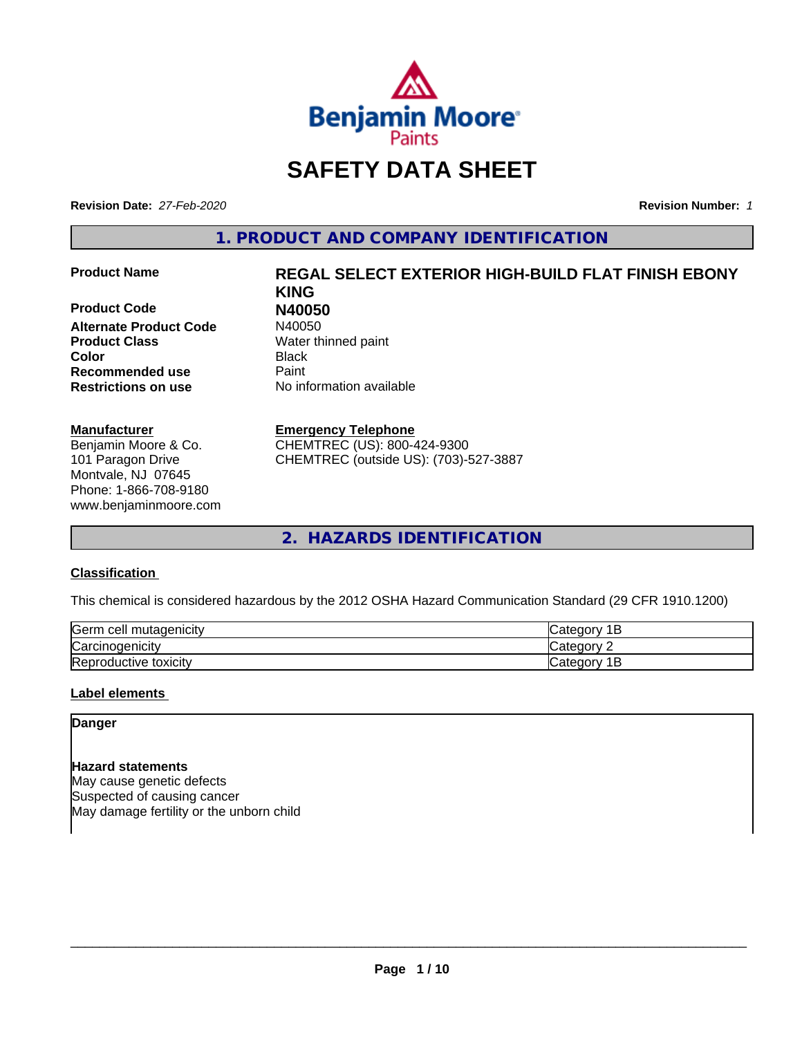

# **SAFETY DATA SHEET**

**Revision Date:** *27-Feb-2020* **Revision Number:** *1*

**1. PRODUCT AND COMPANY IDENTIFICATION**

**Product Code N40050 Alternate Product Code Product Class** Water thinned paint **Color** Black **Recommended use Caint Restrictions on use** No information available

#### **Manufacturer**

Benjamin Moore & Co. 101 Paragon Drive Montvale, NJ 07645 Phone: 1-866-708-9180 www.benjaminmoore.com

# **Product Name REGAL SELECT EXTERIOR HIGH-BUILD FLAT FINISH EBONY KING**

# **Emergency Telephone**

CHEMTREC (US): 800-424-9300 CHEMTREC (outside US): (703)-527-3887

**2. HAZARDS IDENTIFICATION**

# **Classification**

This chemical is considered hazardous by the 2012 OSHA Hazard Communication Standard (29 CFR 1910.1200)

| <b>Serm</b><br>ı cell mutaqenicitv     | $\sim$ $\sim$ $\sim$<br>$\sim$ $\sim$<br>ונזו<br>ــ   |
|----------------------------------------|-------------------------------------------------------|
| ⌒<br>arcır. ن<br><i>r</i> cinoaenicity | $\sim$ $\sim$ $\sim$ $\sim$ $\sim$<br>ำ่า+′<br>10     |
| Reproductive toxicity                  | . .<br>$\sim$ dl $e$ 00 <sup>n</sup> ' $\degree$<br>- |

#### **Label elements**

**Danger**

**Hazard statements** May cause genetic defects Suspected of causing cancer May damage fertility or the unborn child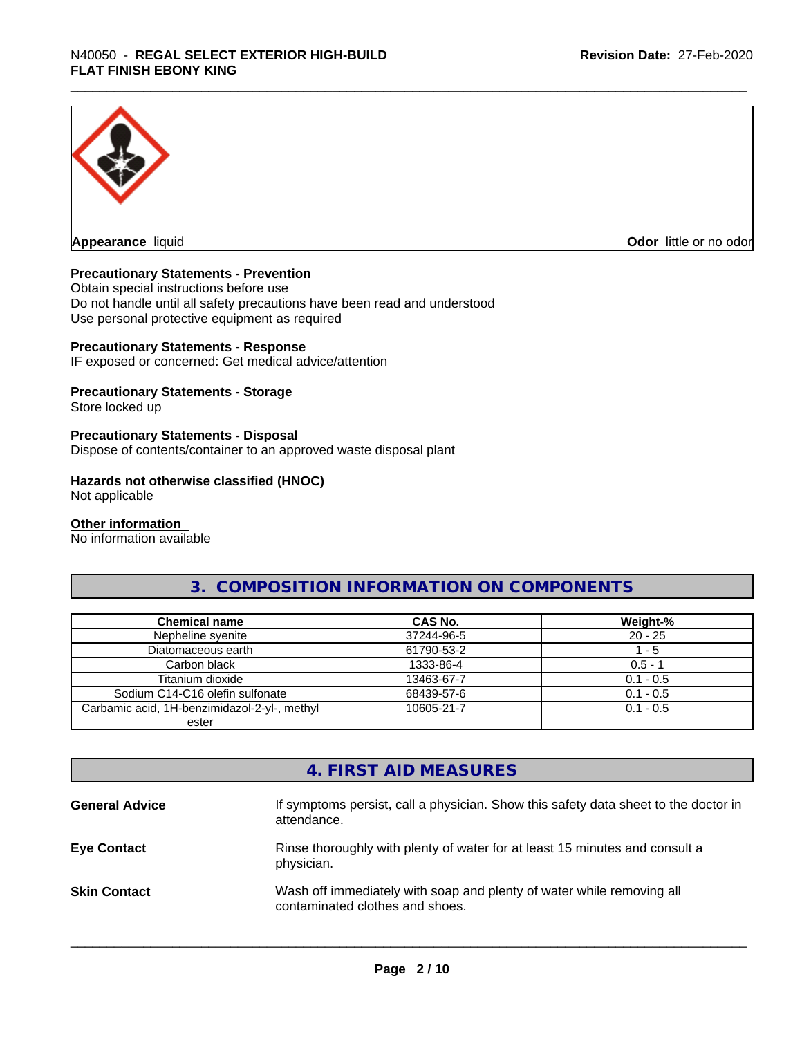

**Appearance** liquid **Odor in the original of the original of the original of the original of the original of the original of the original of the original of the original of the original of the original of the original of t** 

#### **Precautionary Statements - Prevention**

Obtain special instructions before use Do not handle until all safety precautions have been read and understood Use personal protective equipment as required

#### **Precautionary Statements - Response**

IF exposed or concerned: Get medical advice/attention

#### **Precautionary Statements - Storage**

Store locked up

#### **Precautionary Statements - Disposal**

Dispose of contents/container to an approved waste disposal plant

#### **Hazards not otherwise classified (HNOC)**

Not applicable

#### **Other information**

No information available

# **3. COMPOSITION INFORMATION ON COMPONENTS**

| <b>Chemical name</b>                         | CAS No.    | Weight-%    |
|----------------------------------------------|------------|-------------|
| Nepheline syenite                            | 37244-96-5 | $20 - 25$   |
| Diatomaceous earth                           | 61790-53-2 | l - 5       |
| Carbon black                                 | 1333-86-4  | $0.5 - 1$   |
| Titanium dioxide                             | 13463-67-7 | $0.1 - 0.5$ |
| Sodium C14-C16 olefin sulfonate              | 68439-57-6 | $0.1 - 0.5$ |
| Carbamic acid, 1H-benzimidazol-2-yl-, methyl | 10605-21-7 | $0.1 - 0.5$ |
| ester                                        |            |             |

# **4. FIRST AID MEASURES**

| <b>General Advice</b> | If symptoms persist, call a physician. Show this safety data sheet to the doctor in<br>attendance.       |
|-----------------------|----------------------------------------------------------------------------------------------------------|
| <b>Eye Contact</b>    | Rinse thoroughly with plenty of water for at least 15 minutes and consult a<br>physician.                |
| <b>Skin Contact</b>   | Wash off immediately with soap and plenty of water while removing all<br>contaminated clothes and shoes. |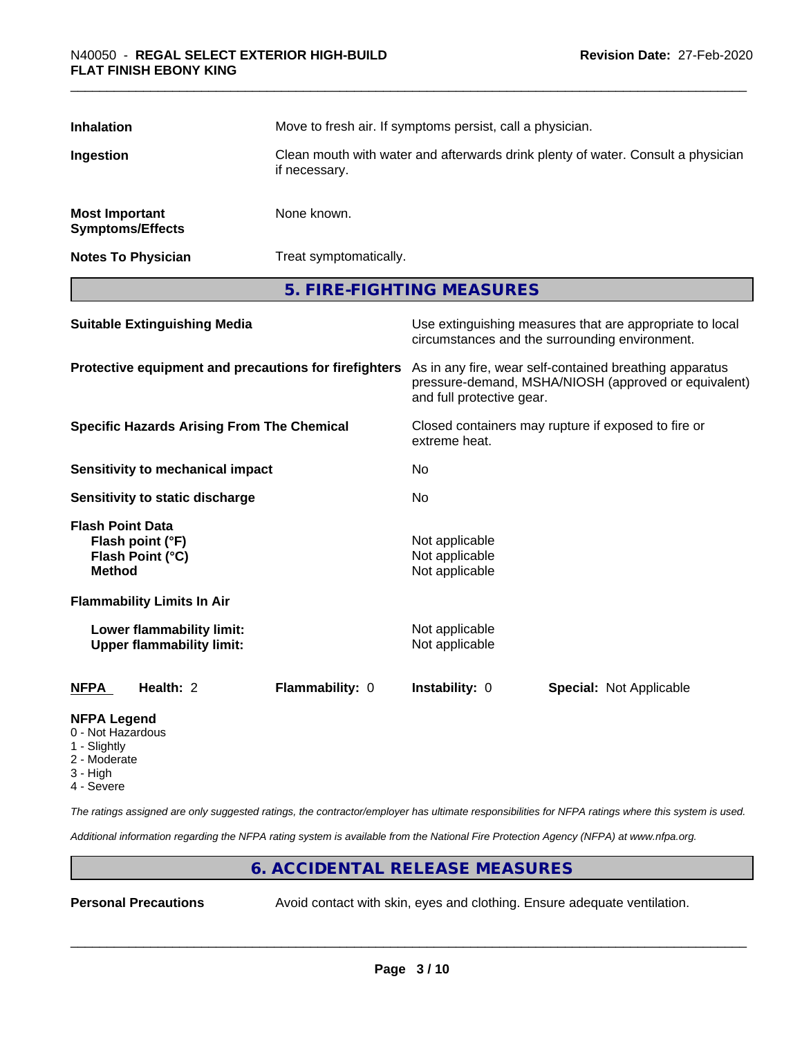| <b>Inhalation</b>                                       |                                                               | Move to fresh air. If symptoms persist, call a physician.                                         |                                                    |                                                                                                                                                                       |
|---------------------------------------------------------|---------------------------------------------------------------|---------------------------------------------------------------------------------------------------|----------------------------------------------------|-----------------------------------------------------------------------------------------------------------------------------------------------------------------------|
| Ingestion                                               |                                                               | Clean mouth with water and afterwards drink plenty of water. Consult a physician<br>if necessary. |                                                    |                                                                                                                                                                       |
| <b>Most Important</b><br><b>Symptoms/Effects</b>        |                                                               | None known.                                                                                       |                                                    |                                                                                                                                                                       |
| <b>Notes To Physician</b>                               |                                                               | Treat symptomatically.                                                                            |                                                    |                                                                                                                                                                       |
|                                                         |                                                               |                                                                                                   | 5. FIRE-FIGHTING MEASURES                          |                                                                                                                                                                       |
|                                                         | <b>Suitable Extinguishing Media</b>                           |                                                                                                   |                                                    | Use extinguishing measures that are appropriate to local<br>circumstances and the surrounding environment.                                                            |
|                                                         |                                                               |                                                                                                   | and full protective gear.                          | Protective equipment and precautions for firefighters As in any fire, wear self-contained breathing apparatus<br>pressure-demand, MSHA/NIOSH (approved or equivalent) |
| <b>Specific Hazards Arising From The Chemical</b>       |                                                               | Closed containers may rupture if exposed to fire or<br>extreme heat.                              |                                                    |                                                                                                                                                                       |
|                                                         | <b>Sensitivity to mechanical impact</b>                       |                                                                                                   | No.                                                |                                                                                                                                                                       |
|                                                         | Sensitivity to static discharge                               |                                                                                                   | No                                                 |                                                                                                                                                                       |
| <b>Flash Point Data</b><br><b>Method</b>                | Flash point (°F)<br>Flash Point (°C)                          |                                                                                                   | Not applicable<br>Not applicable<br>Not applicable |                                                                                                                                                                       |
|                                                         | <b>Flammability Limits In Air</b>                             |                                                                                                   |                                                    |                                                                                                                                                                       |
|                                                         | Lower flammability limit:<br><b>Upper flammability limit:</b> |                                                                                                   | Not applicable<br>Not applicable                   |                                                                                                                                                                       |
| <b>NFPA</b>                                             | Health: 2                                                     | Flammability: 0                                                                                   | Instability: 0                                     | <b>Special: Not Applicable</b>                                                                                                                                        |
| <b>NFPA Legend</b><br>0 - Not Hazardous<br>1 - Slightly |                                                               |                                                                                                   |                                                    |                                                                                                                                                                       |

- Slightly
- 2 Moderate
- 3 High
- 4 Severe

*The ratings assigned are only suggested ratings, the contractor/employer has ultimate responsibilities for NFPA ratings where this system is used.*

*Additional information regarding the NFPA rating system is available from the National Fire Protection Agency (NFPA) at www.nfpa.org.*

# **6. ACCIDENTAL RELEASE MEASURES**

**Personal Precautions** Avoid contact with skin, eyes and clothing. Ensure adequate ventilation.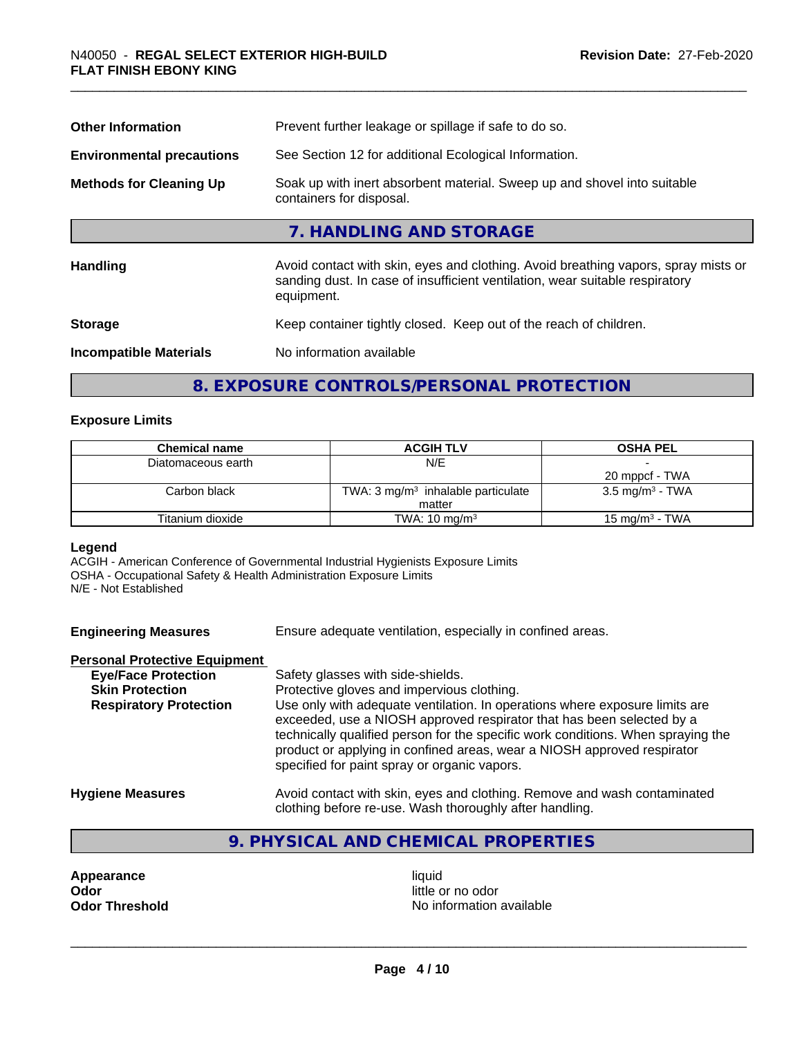| Prevent further leakage or spillage if safe to do so.                                                                                                                            |  |  |
|----------------------------------------------------------------------------------------------------------------------------------------------------------------------------------|--|--|
| See Section 12 for additional Ecological Information.                                                                                                                            |  |  |
| Soak up with inert absorbent material. Sweep up and shovel into suitable<br>containers for disposal.                                                                             |  |  |
| 7. HANDLING AND STORAGE                                                                                                                                                          |  |  |
| Avoid contact with skin, eyes and clothing. Avoid breathing vapors, spray mists or<br>sanding dust. In case of insufficient ventilation, wear suitable respiratory<br>equipment. |  |  |
| Keep container tightly closed. Keep out of the reach of children.                                                                                                                |  |  |
| No information available                                                                                                                                                         |  |  |
|                                                                                                                                                                                  |  |  |

# **8. EXPOSURE CONTROLS/PERSONAL PROTECTION**

#### **Exposure Limits**

| <b>Chemical name</b> | <b>ACGIH TLV</b>                              | <b>OSHA PEL</b>             |
|----------------------|-----------------------------------------------|-----------------------------|
| Diatomaceous earth   | N/E                                           |                             |
|                      |                                               | 20 mppcf - TWA              |
| Carbon black         | TWA: $3 \text{ mg/m}^3$ inhalable particulate | 3.5 mg/m <sup>3</sup> - TWA |
|                      | matter                                        |                             |
| Titanium dioxide     | TWA: $10 \text{ mg/m}^3$                      | 15 mg/m $3$ - TWA           |

# **Legend**

ACGIH - American Conference of Governmental Industrial Hygienists Exposure Limits OSHA - Occupational Safety & Health Administration Exposure Limits N/E - Not Established

**Engineering Measures** Ensure adequate ventilation, especially in confined areas.

#### **Personal Protective Equipment**

| <b>Eye/Face Protection</b>    | Safety glasses with side-shields.                                                                                                                                                                                                                                                                                                                                   |
|-------------------------------|---------------------------------------------------------------------------------------------------------------------------------------------------------------------------------------------------------------------------------------------------------------------------------------------------------------------------------------------------------------------|
| <b>Skin Protection</b>        | Protective gloves and impervious clothing.                                                                                                                                                                                                                                                                                                                          |
| <b>Respiratory Protection</b> | Use only with adequate ventilation. In operations where exposure limits are<br>exceeded, use a NIOSH approved respirator that has been selected by a<br>technically qualified person for the specific work conditions. When spraying the<br>product or applying in confined areas, wear a NIOSH approved respirator<br>specified for paint spray or organic vapors. |
| <b>Hygiene Measures</b>       | Avoid contact with skin, eyes and clothing. Remove and wash contaminated                                                                                                                                                                                                                                                                                            |

clothing before re-use. Wash thoroughly after handling.

# **9. PHYSICAL AND CHEMICAL PROPERTIES**

**Appearance** liquid **and a limitation of the contract of the liquid determined a liquid determined by a little contract of the contract of the contract of the contract of the contract of the contract of the contract of the** 

little or no odor **Odor Threshold** No information available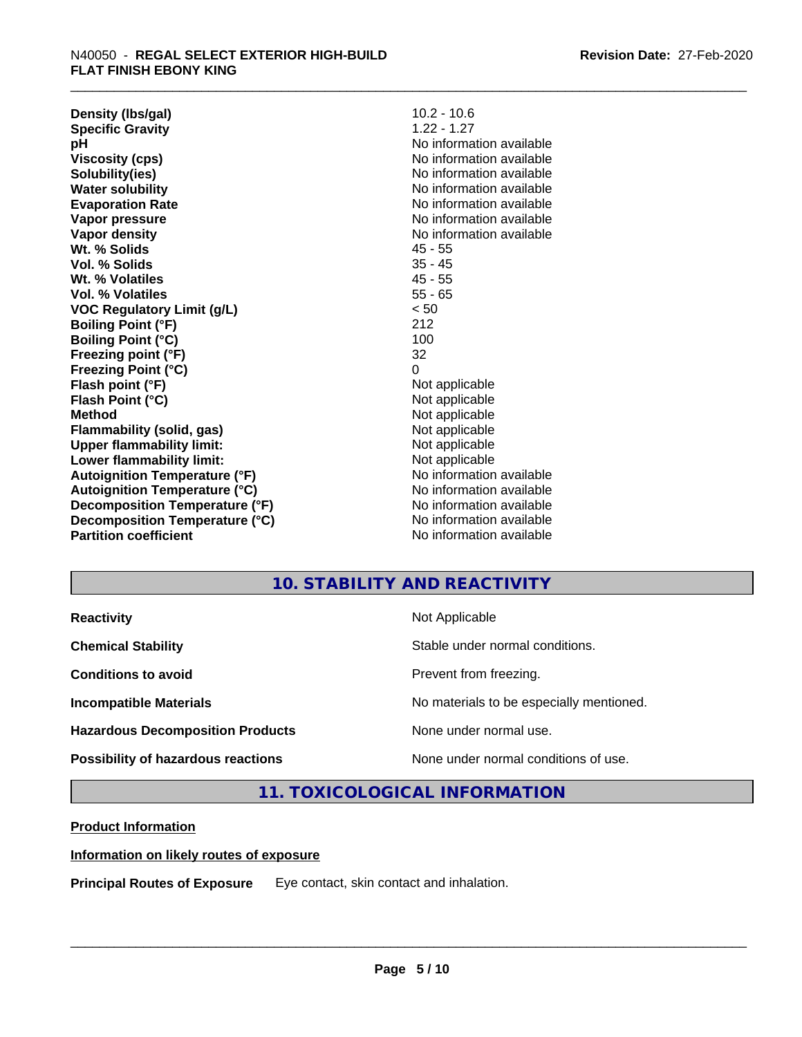**Density (lbs/gal)** 10.2 - 10.6<br> **Specific Gravity** 1.22 - 1.27 **Specific Gravity pH** No information available **Viscosity (cps)** No information available **Solubility(ies)** No information available **Water solubility** No information available **Evaporation Rate** Note 2008 and 2009 No information available **Vapor pressure** No information available in the North American Monte available in the North American available **Vapor density** No information available values and values of  $\alpha$  No information available **Wt. % Solids** 45 - 55 **Vol. % Solids** 35 - 45 **Wt. % Volatiles** 45 - 55 **Vol. % Volatiles** 55 - 65 **VOC Regulatory Limit (g/L)** < 50 **Boiling Point (°F)** 212 **Boiling Point**  $(^{\circ}C)$  100 **Freezing point (°F)** 32 **Freezing Point (°C)** 0 **Flash point (°F)**<br> **Flash Point (°C)**<br> **Flash Point (°C)**<br> **C Flash Point (°C) Method** Not applicable **Flammability (solid, gas)** Not applicable **Upper flammability limit:**<br> **Lower flammability limit:**<br>
Not applicable<br>
Not applicable **Lower flammability limit:**<br> **Autoignition Temperature (°F)** Not applicable havailable available **Autoignition Temperature (°F)**<br> **Autoignition Temperature (°C)** No information available **Autoignition Temperature (°C) Decomposition Temperature (°F)** No information available **Decomposition Temperature (°C)**<br> **Partition coefficient**<br> **Partition coefficient**<br> **No** information available

**No information available** 

# **10. STABILITY AND REACTIVITY**

| <b>Reactivity</b>                         | Not Applicable                           |
|-------------------------------------------|------------------------------------------|
| <b>Chemical Stability</b>                 | Stable under normal conditions.          |
| <b>Conditions to avoid</b>                | Prevent from freezing.                   |
| <b>Incompatible Materials</b>             | No materials to be especially mentioned. |
| <b>Hazardous Decomposition Products</b>   | None under normal use.                   |
| <b>Possibility of hazardous reactions</b> | None under normal conditions of use.     |

# **11. TOXICOLOGICAL INFORMATION**

# **Product Information**

#### **Information on likely routes of exposure**

**Principal Routes of Exposure** Eye contact, skin contact and inhalation.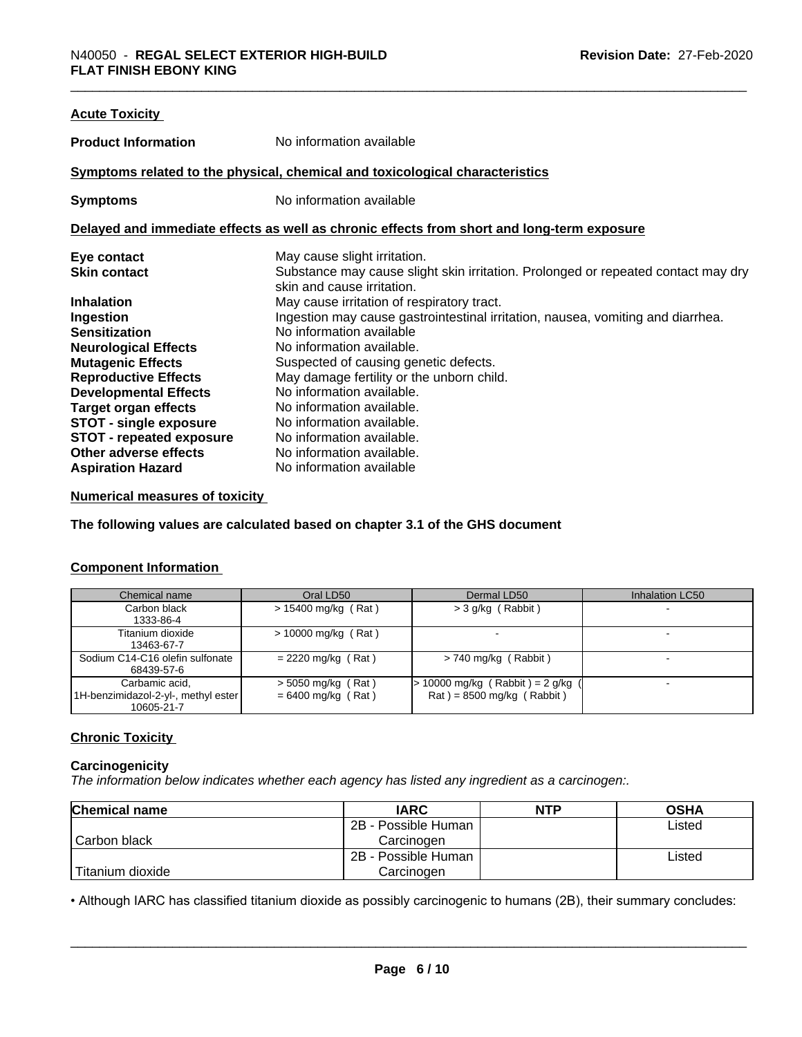| <b>Acute Toxicity</b>           |                                                                                            |
|---------------------------------|--------------------------------------------------------------------------------------------|
| <b>Product Information</b>      | No information available                                                                   |
|                                 | Symptoms related to the physical, chemical and toxicological characteristics               |
| <b>Symptoms</b>                 | No information available                                                                   |
|                                 | Delayed and immediate effects as well as chronic effects from short and long-term exposure |
| Eye contact                     | May cause slight irritation.                                                               |
| <b>Skin contact</b>             | Substance may cause slight skin irritation. Prolonged or repeated contact may dry          |
|                                 | skin and cause irritation.                                                                 |
| <b>Inhalation</b>               | May cause irritation of respiratory tract.                                                 |
| Ingestion                       | Ingestion may cause gastrointestinal irritation, nausea, vomiting and diarrhea.            |
| <b>Sensitization</b>            | No information available                                                                   |
| <b>Neurological Effects</b>     | No information available.                                                                  |
| <b>Mutagenic Effects</b>        | Suspected of causing genetic defects.                                                      |
| <b>Reproductive Effects</b>     | May damage fertility or the unborn child.                                                  |
| <b>Developmental Effects</b>    | No information available.                                                                  |
| <b>Target organ effects</b>     | No information available.                                                                  |
| <b>STOT - single exposure</b>   | No information available.                                                                  |
| <b>STOT - repeated exposure</b> | No information available.                                                                  |
| Other adverse effects           | No information available.                                                                  |
| <b>Aspiration Hazard</b>        | No information available                                                                   |

#### **Numerical measures of toxicity**

**The following values are calculated based on chapter 3.1 of the GHS document**

## **Component Information**

| Chemical name                       | Oral LD50             | Dermal LD50                         | Inhalation LC50 |
|-------------------------------------|-----------------------|-------------------------------------|-----------------|
| Carbon black                        | $> 15400$ mg/kg (Rat) | > 3 g/kg (Rabbit)                   |                 |
| 1333-86-4                           |                       |                                     |                 |
| Titanium dioxide                    | $> 10000$ mg/kg (Rat) |                                     |                 |
| 13463-67-7                          |                       |                                     |                 |
| Sodium C14-C16 olefin sulfonate     | $= 2220$ mg/kg (Rat)  | $> 740$ mg/kg (Rabbit)              |                 |
| 68439-57-6                          |                       |                                     |                 |
| Carbamic acid,                      | $>$ 5050 mg/kg (Rat)  | $> 10000$ mg/kg (Rabbit) = 2 g/kg ( |                 |
| 1H-benzimidazol-2-yl-, methyl ester | $= 6400$ mg/kg (Rat)  | $Rat$ = 8500 mg/kg (Rabbit)         |                 |
| 10605-21-7                          |                       |                                     |                 |

# **Chronic Toxicity**

# **Carcinogenicity**

*The information below indicateswhether each agency has listed any ingredient as a carcinogen:.*

| <b>Chemical name</b> | <b>IARC</b>         | <b>NTP</b> | <b>OSHA</b> |
|----------------------|---------------------|------------|-------------|
|                      | 2B - Possible Human |            | Listed      |
| Carbon black         | Carcinoɑen          |            |             |
|                      | 2B - Possible Human |            | Listed      |
| Titanium dioxide     | Carcinogen          |            |             |

• Although IARC has classified titanium dioxide as possibly carcinogenic to humans (2B), their summary concludes:<br> **Page 6/10**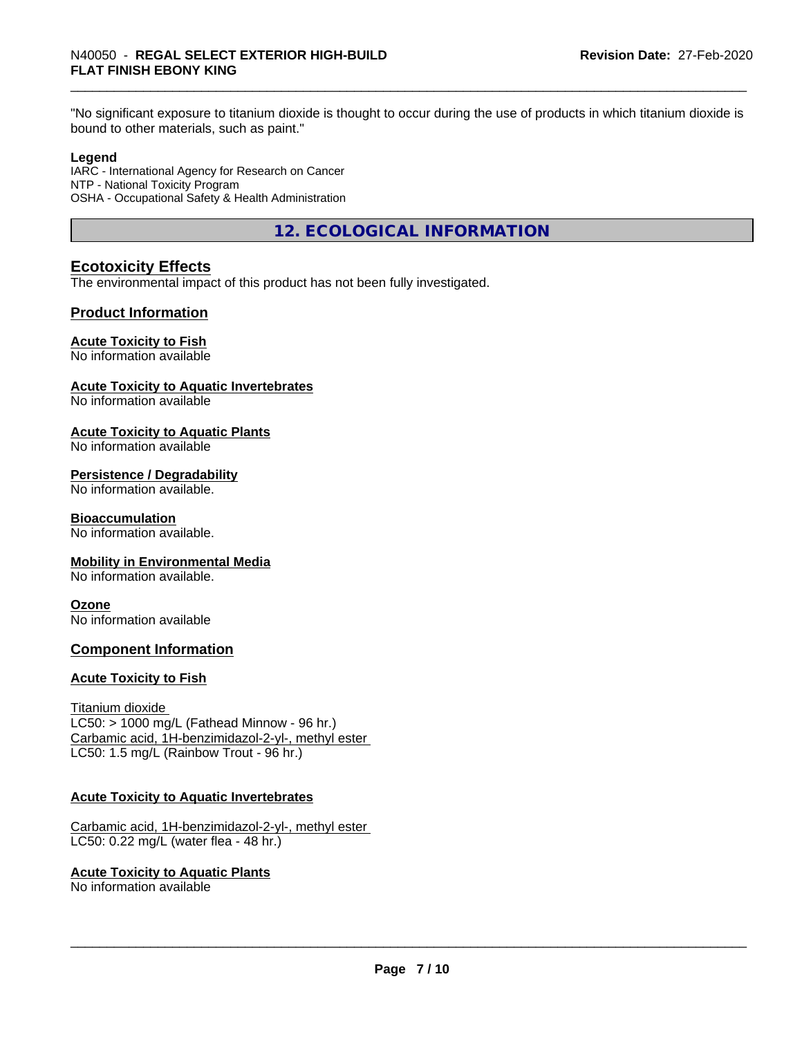"No significant exposure to titanium dioxide is thought to occur during the use of products in which titanium dioxide is bound to other materials, such as paint."

#### **Legend**

IARC - International Agency for Research on Cancer NTP - National Toxicity Program OSHA - Occupational Safety & Health Administration

**12. ECOLOGICAL INFORMATION**

# **Ecotoxicity Effects**

The environmental impact of this product has not been fully investigated.

# **Product Information**

#### **Acute Toxicity to Fish**

No information available

#### **Acute Toxicity to Aquatic Invertebrates**

No information available

#### **Acute Toxicity to Aquatic Plants**

No information available

# **Persistence / Degradability**

No information available.

# **Bioaccumulation**

No information available.

#### **Mobility in Environmental Media**

No information available.

#### **Ozone**

No information available

#### **Component Information**

#### **Acute Toxicity to Fish**

Titanium dioxide  $LC50:$  > 1000 mg/L (Fathead Minnow - 96 hr.) Carbamic acid, 1H-benzimidazol-2-yl-, methyl ester LC50: 1.5 mg/L (Rainbow Trout - 96 hr.)

#### **Acute Toxicity to Aquatic Invertebrates**

Carbamic acid, 1H-benzimidazol-2-yl-, methyl ester LC50: 0.22 mg/L (water flea - 48 hr.)

#### **Acute Toxicity to Aquatic Plants**

No information available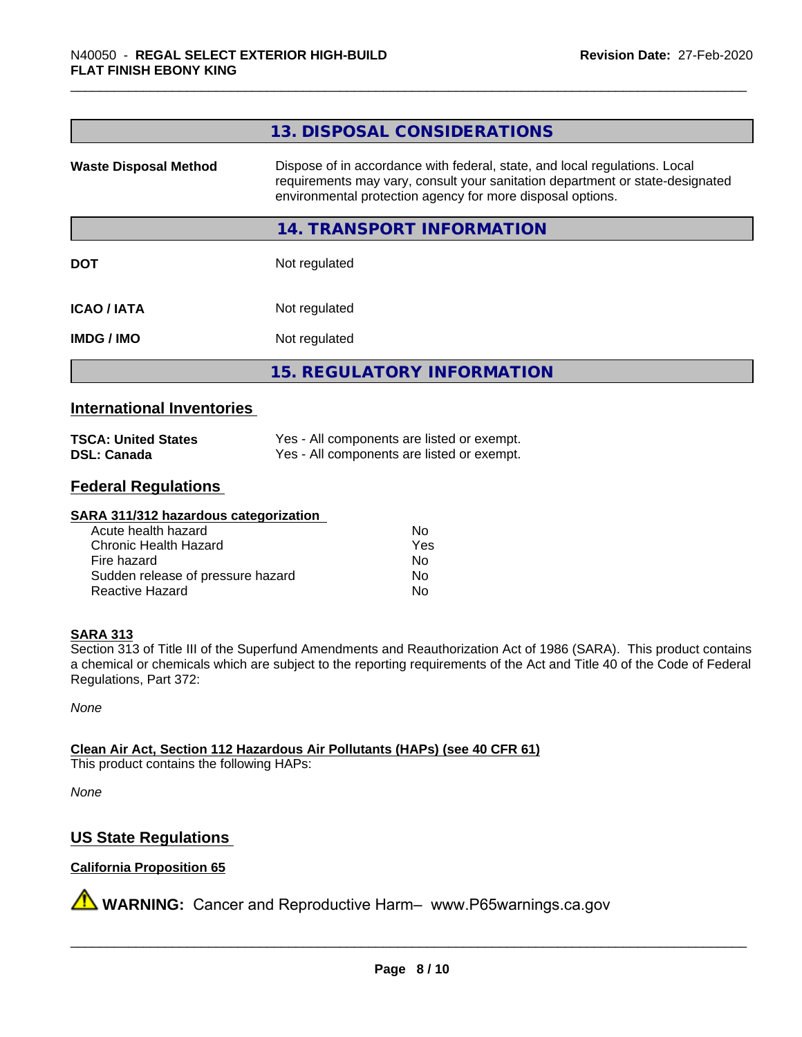|                              | 13. DISPOSAL CONSIDERATIONS                                                                                                                                                                                               |
|------------------------------|---------------------------------------------------------------------------------------------------------------------------------------------------------------------------------------------------------------------------|
| <b>Waste Disposal Method</b> | Dispose of in accordance with federal, state, and local regulations. Local<br>requirements may vary, consult your sanitation department or state-designated<br>environmental protection agency for more disposal options. |
|                              | <b>14. TRANSPORT INFORMATION</b>                                                                                                                                                                                          |
| <b>DOT</b>                   | Not regulated                                                                                                                                                                                                             |
| <b>ICAO/IATA</b>             | Not regulated                                                                                                                                                                                                             |
| <b>IMDG/IMO</b>              | Not regulated                                                                                                                                                                                                             |
|                              | <b>15. REGULATORY INFORMATION</b>                                                                                                                                                                                         |

# **International Inventories**

| <b>TSCA: United States</b> | Yes - All components are listed or exempt. |
|----------------------------|--------------------------------------------|
| <b>DSL: Canada</b>         | Yes - All components are listed or exempt. |

# **Federal Regulations**

#### **SARA 311/312 hazardous categorization**

| Acute health hazard               | Nο  |
|-----------------------------------|-----|
| Chronic Health Hazard             | Yes |
| Fire hazard                       | Nο  |
| Sudden release of pressure hazard | N٥  |
| Reactive Hazard                   | N٥  |

#### **SARA 313**

Section 313 of Title III of the Superfund Amendments and Reauthorization Act of 1986 (SARA). This product contains a chemical or chemicals which are subject to the reporting requirements of the Act and Title 40 of the Code of Federal Regulations, Part 372:

*None*

**Clean Air Act,Section 112 Hazardous Air Pollutants (HAPs) (see 40 CFR 61)**

This product contains the following HAPs:

*None*

# **US State Regulations**

#### **California Proposition 65**

**A** WARNING: Cancer and Reproductive Harm– www.P65warnings.ca.gov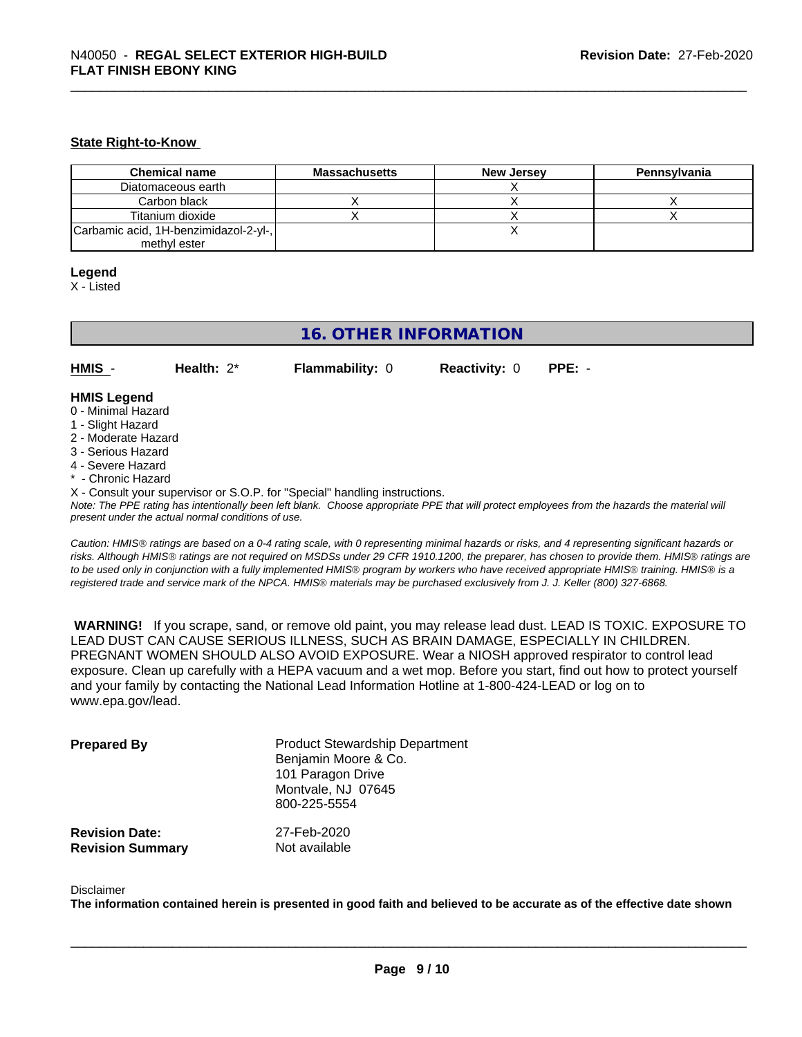#### **State Right-to-Know**

| <b>Chemical name</b>                  | <b>Massachusetts</b> | <b>New Jersey</b> | Pennsylvania |
|---------------------------------------|----------------------|-------------------|--------------|
| Diatomaceous earth                    |                      |                   |              |
| Carbon black                          |                      |                   |              |
| Titanium dioxide                      |                      |                   |              |
| Carbamic acid, 1H-benzimidazol-2-yl-, |                      |                   |              |
| methyl ester                          |                      |                   |              |

#### **Legend**

X - Listed

# **16. OTHER INFORMATION**

**HMIS** - **Health:** 2\* **Flammability:** 0 **Reactivity:** 0 **PPE:** -

#### **HMIS Legend**

- 0 Minimal Hazard
- 1 Slight Hazard
- 2 Moderate Hazard
- 3 Serious Hazard
- 4 Severe Hazard
- Chronic Hazard
- X Consult your supervisor or S.O.P. for "Special" handling instructions.

*Note: The PPE rating has intentionally been left blank. Choose appropriate PPE that will protect employees from the hazards the material will present under the actual normal conditions of use.*

*Caution: HMISÒ ratings are based on a 0-4 rating scale, with 0 representing minimal hazards or risks, and 4 representing significant hazards or risks. Although HMISÒ ratings are not required on MSDSs under 29 CFR 1910.1200, the preparer, has chosen to provide them. HMISÒ ratings are to be used only in conjunction with a fully implemented HMISÒ program by workers who have received appropriate HMISÒ training. HMISÒ is a registered trade and service mark of the NPCA. HMISÒ materials may be purchased exclusively from J. J. Keller (800) 327-6868.*

 **WARNING!** If you scrape, sand, or remove old paint, you may release lead dust. LEAD IS TOXIC. EXPOSURE TO LEAD DUST CAN CAUSE SERIOUS ILLNESS, SUCH AS BRAIN DAMAGE, ESPECIALLY IN CHILDREN. PREGNANT WOMEN SHOULD ALSO AVOID EXPOSURE. Wear a NIOSH approved respirator to control lead exposure. Clean up carefully with a HEPA vacuum and a wet mop. Before you start, find out how to protect yourself and your family by contacting the National Lead Information Hotline at 1-800-424-LEAD or log on to www.epa.gov/lead.

| <b>Prepared By</b>      | <b>Product Stewardship Department</b><br>Benjamin Moore & Co.<br>101 Paragon Drive<br>Montvale, NJ 07645<br>800-225-5554 |
|-------------------------|--------------------------------------------------------------------------------------------------------------------------|
| <b>Revision Date:</b>   | 27-Feb-2020                                                                                                              |
| <b>Revision Summary</b> | Not available                                                                                                            |

#### Disclaimer

The information contained herein is presented in good faith and believed to be accurate as of the effective date shown